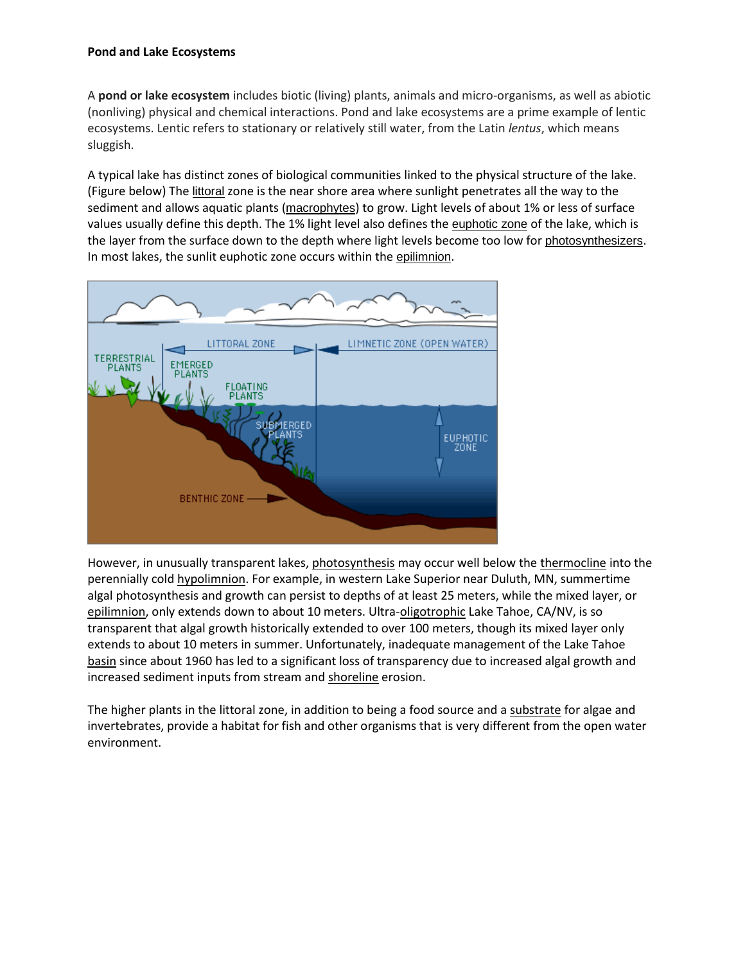## **Pond and Lake Ecosystems**

A **pond or lake ecosystem** includes biotic (living) plants, animals and micro-organisms, as well as abiotic (nonliving) physical and chemical interactions. Pond and lake ecosystems are a prime example of lentic ecosystems. Lentic refers to stationary or relatively still water, from the Latin *lentus*, which means sluggish.

A typical lake has distinct zones of biological communities linked to the physical structure of the lake. (Figure below) The [littoral](http://www.lakeaccess.org/glossary.html) zone is the near shore area where sunlight penetrates all the way to the sediment and allows aquatic plants ([macrophytes](http://www.lakeaccess.org/glossary.html)) to grow. Light levels of about 1% or less of surface values usually define this depth. The 1% light level also defines the [euphotic zone](http://www.lakeaccess.org/glossary.html) of the lake, which is the layer from the surface down to the depth where light levels become too low for [photosynthesizers](http://www.lakeaccess.org/glossary.html). In most lakes, the sunlit euphotic zone occurs within the [epilimnion](http://www.lakeaccess.org/glossary.html).



However, in unusually transparent lakes[, photosynthesis](http://www.lakeaccess.org/glossary.html) may occur well below the [thermocline](http://www.lakeaccess.org/glossary.html) into the perennially col[d hypolimnion.](http://www.lakeaccess.org/glossary.html) For example, in western Lake Superior near Duluth, MN, summertime algal photosynthesis and growth can persist to depths of at least 25 meters, while the mixed layer, or [epilimnion,](http://www.lakeaccess.org/glossary.html) only extends down to about 10 meters. Ultra[-oligotrophic](http://www.lakeaccess.org/under/glossary.html) Lake Tahoe, CA/NV, is so transparent that algal growth historically extended to over 100 meters, though its mixed layer only extends to about 10 meters in summer. Unfortunately, inadequate management of the Lake Tahoe [basin](http://www.lakeaccess.org/under/glossary.html) since about 1960 has led to a significant loss of transparency due to increased algal growth and increased sediment inputs from stream an[d shoreline](http://www.lakeaccess.org/under/glossary.html) erosion.

The higher plants in the littoral zone, in addition to being a food source and a [substrate](http://www.lakeaccess.org/glossary.html) for algae and invertebrates, provide a habitat for fish and other organisms that is very different from the open water environment.